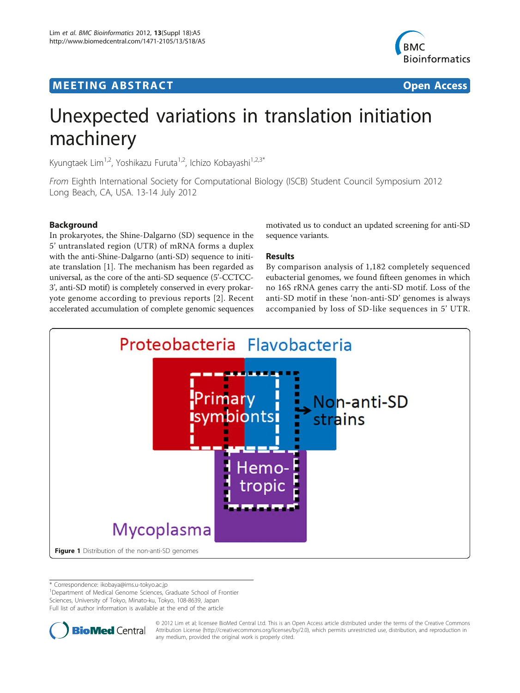# <span id="page-0-0"></span>**MEETING ABSTRACT ACCESS**



# Unexpected variations in translation initiation machinery

Kyungtaek Lim<sup>1,2</sup>, Yoshikazu Furuta<sup>1,2</sup>, Ichizo Kobayashi<sup>1,2,3\*</sup>

From Eighth International Society for Computational Biology (ISCB) Student Council Symposium 2012 Long Beach, CA, USA. 13-14 July 2012

# Background

In prokaryotes, the Shine-Dalgarno (SD) sequence in the 5' untranslated region (UTR) of mRNA forms a duplex with the anti-Shine-Dalgarno (anti-SD) sequence to initiate translation [[1\]](#page-1-0). The mechanism has been regarded as universal, as the core of the anti-SD sequence (5'-CCTCC-3', anti-SD motif) is completely conserved in every prokaryote genome according to previous reports [[2\]](#page-1-0). Recent accelerated accumulation of complete genomic sequences

# motivated us to conduct an updated screening for anti-SD sequence variants.

# Results

By comparison analysis of 1,182 completely sequenced eubacterial genomes, we found fifteen genomes in which no 16S rRNA genes carry the anti-SD motif. Loss of the anti-SD motif in these 'non-anti-SD' genomes is always accompanied by loss of SD-like sequences in 5' UTR.



\* Correspondence: [ikobaya@ims.u-tokyo.ac.jp](mailto:ikobaya@ims.u-tokyo.ac.jp)

<sup>1</sup>Department of Medical Genome Sciences, Graduate School of Frontier Sciences, University of Tokyo, Minato-ku, Tokyo, 108-8639, Japan Full list of author information is available at the end of the article



© 2012 Lim et al; licensee BioMed Central Ltd. This is an Open Access article distributed under the terms of the Creative Commons Attribution License [\(http://creativecommons.org/licenses/by/2.0](http://creativecommons.org/licenses/by/2.0)), which permits unrestricted use, distribution, and reproduction in any medium, provided the original work is properly cited.